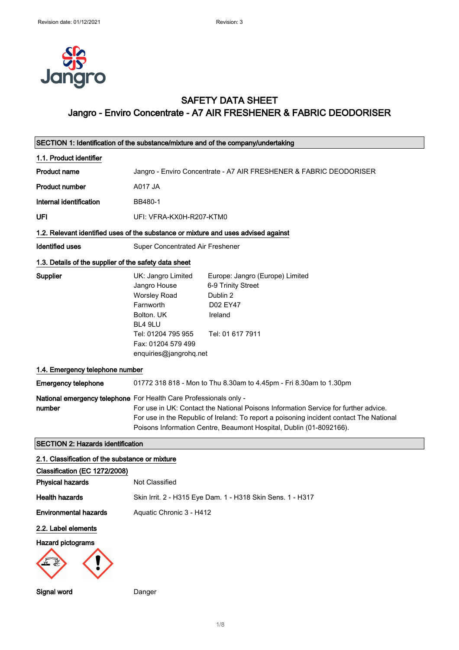

### SAFETY DATA SHEET Jangro - Enviro Concentrate - A7 AIR FRESHENER & FABRIC DEODORISER

| SECTION 1: Identification of the substance/mixture and of the company/undertaking  |                                                                                                                                                                                                                                                                                                                            |                                                                                                              |  |
|------------------------------------------------------------------------------------|----------------------------------------------------------------------------------------------------------------------------------------------------------------------------------------------------------------------------------------------------------------------------------------------------------------------------|--------------------------------------------------------------------------------------------------------------|--|
| 1.1. Product identifier                                                            |                                                                                                                                                                                                                                                                                                                            |                                                                                                              |  |
| <b>Product name</b>                                                                | Jangro - Enviro Concentrate - A7 AIR FRESHENER & FABRIC DEODORISER                                                                                                                                                                                                                                                         |                                                                                                              |  |
| <b>Product number</b>                                                              | A017 JA                                                                                                                                                                                                                                                                                                                    |                                                                                                              |  |
| Internal identification                                                            | BB480-1                                                                                                                                                                                                                                                                                                                    |                                                                                                              |  |
| UFI                                                                                | UFI: VFRA-KX0H-R207-KTM0                                                                                                                                                                                                                                                                                                   |                                                                                                              |  |
| 1.2. Relevant identified uses of the substance or mixture and uses advised against |                                                                                                                                                                                                                                                                                                                            |                                                                                                              |  |
| <b>Identified uses</b>                                                             | Super Concentrated Air Freshener                                                                                                                                                                                                                                                                                           |                                                                                                              |  |
| 1.3. Details of the supplier of the safety data sheet                              |                                                                                                                                                                                                                                                                                                                            |                                                                                                              |  |
| Supplier                                                                           | UK: Jangro Limited<br>Jangro House<br><b>Worsley Road</b><br>Farnworth<br>Bolton, UK<br>BL4 9LU<br>Tel: 01204 795 955<br>Fax: 01204 579 499<br>enquiries@jangrohq.net                                                                                                                                                      | Europe: Jangro (Europe) Limited<br>6-9 Trinity Street<br>Dublin 2<br>D02 EY47<br>Ireland<br>Tel: 01 617 7911 |  |
| 1.4. Emergency telephone number                                                    |                                                                                                                                                                                                                                                                                                                            |                                                                                                              |  |
| <b>Emergency telephone</b>                                                         |                                                                                                                                                                                                                                                                                                                            | 01772 318 818 - Mon to Thu 8.30am to 4.45pm - Fri 8.30am to 1.30pm                                           |  |
| number                                                                             | National emergency telephone For Health Care Professionals only -<br>For use in UK: Contact the National Poisons Information Service for further advice.<br>For use in the Republic of Ireland: To report a poisoning incident contact The National<br>Poisons Information Centre, Beaumont Hospital, Dublin (01-8092166). |                                                                                                              |  |
| <b>SECTION 2: Hazards identification</b>                                           |                                                                                                                                                                                                                                                                                                                            |                                                                                                              |  |
| 2.1. Classification of the substance or mixture                                    |                                                                                                                                                                                                                                                                                                                            |                                                                                                              |  |
| Classification (EC 1272/2008)<br><b>Physical hazards</b>                           | Not Classified                                                                                                                                                                                                                                                                                                             |                                                                                                              |  |
| <b>Health hazards</b>                                                              |                                                                                                                                                                                                                                                                                                                            | Skin Irrit. 2 - H315 Eye Dam. 1 - H318 Skin Sens. 1 - H317                                                   |  |
| <b>Environmental hazards</b>                                                       | Aquatic Chronic 3 - H412                                                                                                                                                                                                                                                                                                   |                                                                                                              |  |
| 2.2. Label elements<br><b>Hazard pictograms</b>                                    |                                                                                                                                                                                                                                                                                                                            |                                                                                                              |  |
| Signal word                                                                        | Danger                                                                                                                                                                                                                                                                                                                     |                                                                                                              |  |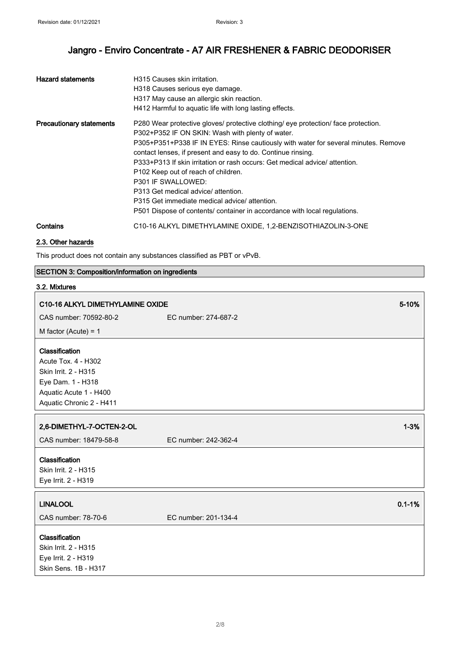| <b>Hazard statements</b>        | H315 Causes skin irritation.<br>H318 Causes serious eye damage.<br>H317 May cause an allergic skin reaction.<br>H412 Harmful to aquatic life with long lasting effects.                                                                                                                                                                                                                                                                                                                                                                                                                                             |
|---------------------------------|---------------------------------------------------------------------------------------------------------------------------------------------------------------------------------------------------------------------------------------------------------------------------------------------------------------------------------------------------------------------------------------------------------------------------------------------------------------------------------------------------------------------------------------------------------------------------------------------------------------------|
| <b>Precautionary statements</b> | P280 Wear protective gloves/ protective clothing/ eye protection/ face protection.<br>P302+P352 IF ON SKIN: Wash with plenty of water.<br>P305+P351+P338 IF IN EYES: Rinse cautiously with water for several minutes. Remove<br>contact lenses, if present and easy to do. Continue rinsing.<br>P333+P313 If skin irritation or rash occurs: Get medical advice/ attention.<br>P102 Keep out of reach of children.<br><b>P301 IF SWALLOWED:</b><br>P313 Get medical advice/ attention.<br>P315 Get immediate medical advice/attention.<br>P501 Dispose of contents/ container in accordance with local regulations. |
| Contains                        | C10-16 ALKYL DIMETHYLAMINE OXIDE, 1,2-BENZISOTHIAZOLIN-3-ONE                                                                                                                                                                                                                                                                                                                                                                                                                                                                                                                                                        |

### 2.3. Other hazards

This product does not contain any substances classified as PBT or vPvB.

### SECTION 3: Composition/information on ingredients

### 3.2. Mixtures

| C10-16 ALKYL DIMETHYLAMINE OXIDE                                                                                                         |                      | 5-10%      |
|------------------------------------------------------------------------------------------------------------------------------------------|----------------------|------------|
| CAS number: 70592-80-2                                                                                                                   | EC number: 274-687-2 |            |
| M factor (Acute) = $1$                                                                                                                   |                      |            |
| Classification<br>Acute Tox. 4 - H302<br>Skin Irrit. 2 - H315<br>Eye Dam. 1 - H318<br>Aquatic Acute 1 - H400<br>Aquatic Chronic 2 - H411 |                      |            |
| 2,6-DIMETHYL-7-OCTEN-2-OL                                                                                                                |                      | $1 - 3%$   |
| CAS number: 18479-58-8                                                                                                                   | EC number: 242-362-4 |            |
| Classification<br>Skin Irrit. 2 - H315<br>Eye Irrit. 2 - H319                                                                            |                      |            |
| <b>LINALOOL</b>                                                                                                                          |                      | $0.1 - 1%$ |
| CAS number: 78-70-6                                                                                                                      | EC number: 201-134-4 |            |
| Classification<br>Skin Irrit. 2 - H315<br>Eye Irrit. 2 - H319<br>Skin Sens. 1B - H317                                                    |                      |            |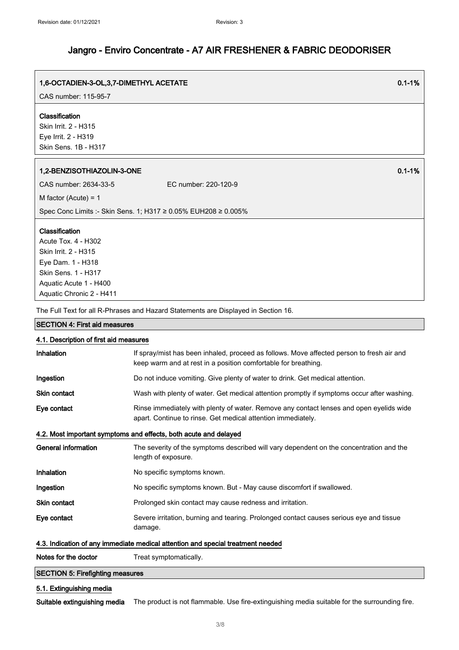| 1,6-OCTADIEN-3-OL,3,7-DIMETHYL ACETATE                         |                      | $0.1 - 1%$ |
|----------------------------------------------------------------|----------------------|------------|
| CAS number: 115-95-7                                           |                      |            |
| Classification<br>Skin Irrit. 2 - H315                         |                      |            |
| Eye Irrit. 2 - H319                                            |                      |            |
| Skin Sens. 1B - H317                                           |                      |            |
| 1,2-BENZISOTHIAZOLIN-3-ONE                                     |                      | $0.1 - 1%$ |
| CAS number: 2634-33-5                                          | EC number: 220-120-9 |            |
| M factor (Acute) = $1$                                         |                      |            |
| Spec Conc Limits :- Skin Sens. 1; H317 ≥ 0.05% EUH208 ≥ 0.005% |                      |            |
| Classification                                                 |                      |            |
| Acute Tox. 4 - H302                                            |                      |            |
| Skin Irrit. 2 - H315                                           |                      |            |
| Eye Dam. 1 - H318                                              |                      |            |
| Skin Sens. 1 - H317                                            |                      |            |
| Aquatic Acute 1 - H400                                         |                      |            |
| Aquatic Chronic 2 - H411                                       |                      |            |

The Full Text for all R-Phrases and Hazard Statements are Displayed in Section 16.

### SECTION 4: First aid measures

| 4.1. Description of first aid measures                                          |                                                                                                                                                             |  |
|---------------------------------------------------------------------------------|-------------------------------------------------------------------------------------------------------------------------------------------------------------|--|
| <b>Inhalation</b>                                                               | If spray/mist has been inhaled, proceed as follows. Move affected person to fresh air and<br>keep warm and at rest in a position comfortable for breathing. |  |
| Ingestion                                                                       | Do not induce vomiting. Give plenty of water to drink. Get medical attention.                                                                               |  |
| <b>Skin contact</b>                                                             | Wash with plenty of water. Get medical attention promptly if symptoms occur after washing.                                                                  |  |
| Eye contact                                                                     | Rinse immediately with plenty of water. Remove any contact lenses and open eyelids wide<br>apart. Continue to rinse. Get medical attention immediately.     |  |
|                                                                                 | 4.2. Most important symptoms and effects, both acute and delayed                                                                                            |  |
| General information                                                             | The severity of the symptoms described will vary dependent on the concentration and the<br>length of exposure.                                              |  |
| <b>Inhalation</b>                                                               | No specific symptoms known.                                                                                                                                 |  |
| Ingestion                                                                       | No specific symptoms known. But - May cause discomfort if swallowed.                                                                                        |  |
| <b>Skin contact</b>                                                             | Prolonged skin contact may cause redness and irritation.                                                                                                    |  |
| Eye contact                                                                     | Severe irritation, burning and tearing. Prolonged contact causes serious eye and tissue<br>damage.                                                          |  |
| 4.3. Indication of any immediate medical attention and special treatment needed |                                                                                                                                                             |  |
| Notes for the doctor                                                            | Treat symptomatically.                                                                                                                                      |  |

### SECTION 5: Firefighting measures

### 5.1. Extinguishing media

Suitable extinguishing media The product is not flammable. Use fire-extinguishing media suitable for the surrounding fire.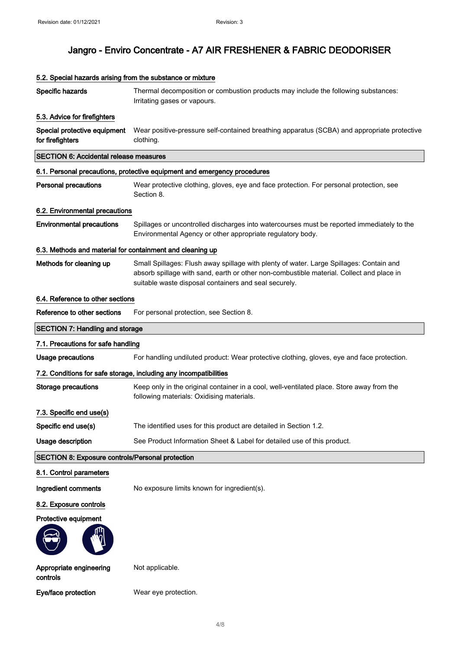| Specific hazards                                          | Thermal decomposition or combustion products may include the following substances:<br>Irritating gases or vapours.                                                                                                                           |
|-----------------------------------------------------------|----------------------------------------------------------------------------------------------------------------------------------------------------------------------------------------------------------------------------------------------|
| 5.3. Advice for firefighters                              |                                                                                                                                                                                                                                              |
| Special protective equipment<br>for firefighters          | Wear positive-pressure self-contained breathing apparatus (SCBA) and appropriate protective<br>clothing.                                                                                                                                     |
| <b>SECTION 6: Accidental release measures</b>             |                                                                                                                                                                                                                                              |
|                                                           | 6.1. Personal precautions, protective equipment and emergency procedures                                                                                                                                                                     |
| <b>Personal precautions</b>                               | Wear protective clothing, gloves, eye and face protection. For personal protection, see<br>Section 8.                                                                                                                                        |
| 6.2. Environmental precautions                            |                                                                                                                                                                                                                                              |
| <b>Environmental precautions</b>                          | Spillages or uncontrolled discharges into watercourses must be reported immediately to the<br>Environmental Agency or other appropriate regulatory body.                                                                                     |
| 6.3. Methods and material for containment and cleaning up |                                                                                                                                                                                                                                              |
| Methods for cleaning up                                   | Small Spillages: Flush away spillage with plenty of water. Large Spillages: Contain and<br>absorb spillage with sand, earth or other non-combustible material. Collect and place in<br>suitable waste disposal containers and seal securely. |
| 6.4. Reference to other sections                          |                                                                                                                                                                                                                                              |
| Reference to other sections                               | For personal protection, see Section 8.                                                                                                                                                                                                      |
| <b>SECTION 7: Handling and storage</b>                    |                                                                                                                                                                                                                                              |
| 7.1. Precautions for safe handling                        |                                                                                                                                                                                                                                              |
| <b>Usage precautions</b>                                  | For handling undiluted product: Wear protective clothing, gloves, eye and face protection.                                                                                                                                                   |
|                                                           | 7.2. Conditions for safe storage, including any incompatibilities                                                                                                                                                                            |
| Storage precautions                                       | Keep only in the original container in a cool, well-ventilated place. Store away from the<br>following materials: Oxidising materials.                                                                                                       |
| 7.3. Specific end use(s)                                  |                                                                                                                                                                                                                                              |
| Specific end use(s)                                       | The identified uses for this product are detailed in Section 1.2                                                                                                                                                                             |
| Usage description                                         | See Product Information Sheet & Label for detailed use of this product.                                                                                                                                                                      |
| <b>SECTION 8: Exposure controls/Personal protection</b>   |                                                                                                                                                                                                                                              |
| 8.1. Control parameters                                   |                                                                                                                                                                                                                                              |
| Ingredient comments                                       | No exposure limits known for ingredient(s).                                                                                                                                                                                                  |
| 8.2. Exposure controls                                    |                                                                                                                                                                                                                                              |
| Protective equipment                                      |                                                                                                                                                                                                                                              |
|                                                           |                                                                                                                                                                                                                                              |
| Appropriate engineering<br>controls                       | Not applicable.                                                                                                                                                                                                                              |
| Eye/face protection                                       | Wear eye protection.                                                                                                                                                                                                                         |

### 5.2. Special hazards arising from the substance or mixture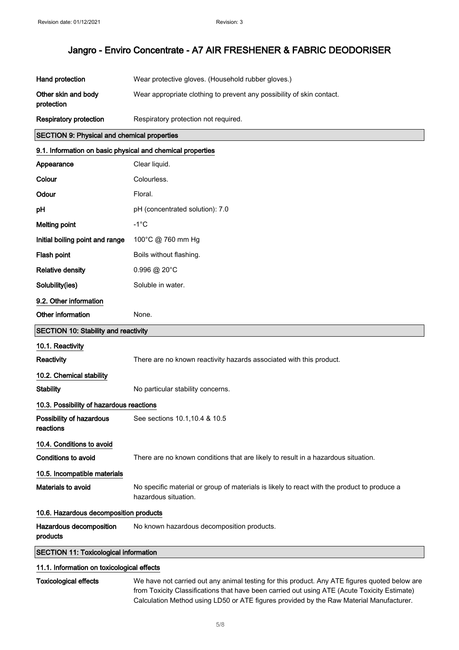| Hand protection                   | Wear protective gloves. (Household rubber gloves.)                    |
|-----------------------------------|-----------------------------------------------------------------------|
| Other skin and body<br>protection | Wear appropriate clothing to prevent any possibility of skin contact. |
| Respiratory protection            | Respiratory protection not required.                                  |

### SECTION 9: Physical and chemical properties

## 9.1. Information on basic physical and chemical properties Appearance Clear liquid. Colour Colourless. Odour Floral. pH (concentrated solution): 7.0 Melting point Fig. 4.1°C Initial boiling point and range 100°C @ 760 mm Hg Flash point **Boils** without flashing. Relative density 0.996 @ 20°C Solubility(ies) Soluble in water. 9.2. Other information Other information None. SECTION 10: Stability and reactivity 10.1. Reactivity Reactivity There are no known reactivity hazards associated with this product. 10.2. Chemical stability Stability No particular stability concerns. 10.3. Possibility of hazardous reactions Possibility of hazardous reactions See sections 10.1,10.4 & 10.5 10.4. Conditions to avoid Conditions to avoid There are no known conditions that are likely to result in a hazardous situation. 10.5. Incompatible materials Materials to avoid No specific material or group of materials is likely to react with the product to produce a hazardous situation. 10.6. Hazardous decomposition products Hazardous decomposition products No known hazardous decomposition products.

SECTION 11: Toxicological information

### 11.1. Information on toxicological effects

| Toxicological eff |  |  |
|-------------------|--|--|
|                   |  |  |

ects We have not carried out any animal testing for this product. Any ATE figures quoted below are from Toxicity Classifications that have been carried out using ATE (Acute Toxicity Estimate) Calculation Method using LD50 or ATE figures provided by the Raw Material Manufacturer.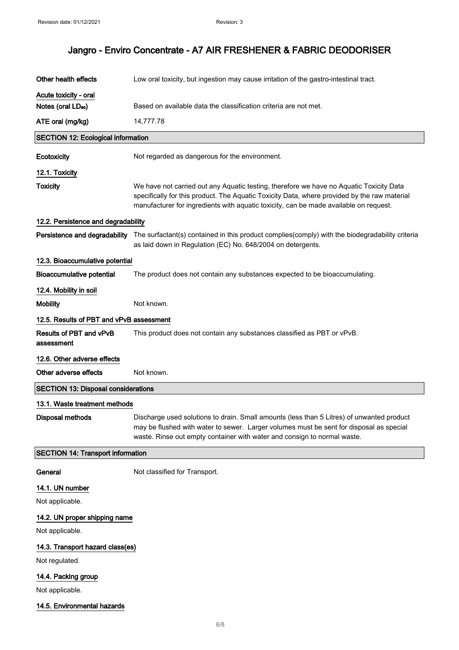| Other health effects                       | Low oral toxicity, but ingestion may cause irritation of the gastro-intestinal tract.                                                                                                                                                                                            |
|--------------------------------------------|----------------------------------------------------------------------------------------------------------------------------------------------------------------------------------------------------------------------------------------------------------------------------------|
| Acute toxicity - oral                      |                                                                                                                                                                                                                                                                                  |
| Notes (oral LD <sub>50</sub> )             | Based on available data the classification criteria are not met.                                                                                                                                                                                                                 |
| ATE oral (mg/kg)                           | 14,777.78                                                                                                                                                                                                                                                                        |
| <b>SECTION 12: Ecological information</b>  |                                                                                                                                                                                                                                                                                  |
| Ecotoxicity                                | Not regarded as dangerous for the environment.                                                                                                                                                                                                                                   |
| 12.1. Toxicity                             |                                                                                                                                                                                                                                                                                  |
| <b>Toxicity</b>                            | We have not carried out any Aquatic testing, therefore we have no Aquatic Toxicity Data<br>specifically for this product. The Aquatic Toxicity Data, where provided by the raw material<br>manufacturer for ingredients with aquatic toxicity, can be made available on request. |
| 12.2. Persistence and degradability        |                                                                                                                                                                                                                                                                                  |
|                                            | Persistence and degradability The surfactant(s) contained in this product complies(comply) with the biodegradability criteria<br>as laid down in Regulation (EC) No. 648/2004 on detergents.                                                                                     |
| 12.3. Bioaccumulative potential            |                                                                                                                                                                                                                                                                                  |
| <b>Bioaccumulative potential</b>           | The product does not contain any substances expected to be bioaccumulating.                                                                                                                                                                                                      |
| 12.4. Mobility in soil                     |                                                                                                                                                                                                                                                                                  |
| <b>Mobility</b>                            | Not known.                                                                                                                                                                                                                                                                       |
| 12.5. Results of PBT and vPvB assessment   |                                                                                                                                                                                                                                                                                  |
| Results of PBT and vPvB<br>assessment      | This product does not contain any substances classified as PBT or vPvB.                                                                                                                                                                                                          |
| 12.6. Other adverse effects                |                                                                                                                                                                                                                                                                                  |
| Other adverse effects                      | Not known.                                                                                                                                                                                                                                                                       |
| <b>SECTION 13: Disposal considerations</b> |                                                                                                                                                                                                                                                                                  |
| 13.1. Waste treatment methods              |                                                                                                                                                                                                                                                                                  |
| Disposal methods                           | Discharge used solutions to drain. Small amounts (less than 5 Litres) of unwanted product<br>may be flushed with water to sewer. Larger volumes must be sent for disposal as special<br>waste. Rinse out empty container with water and consign to normal waste.                 |
| <b>SECTION 14: Transport information</b>   |                                                                                                                                                                                                                                                                                  |
| General                                    | Not classified for Transport.                                                                                                                                                                                                                                                    |
| 14.1. UN number                            |                                                                                                                                                                                                                                                                                  |
| Not applicable.                            |                                                                                                                                                                                                                                                                                  |
| 14.2. UN proper shipping name              |                                                                                                                                                                                                                                                                                  |
| Not applicable.                            |                                                                                                                                                                                                                                                                                  |
| 14.3. Transport hazard class(es)           |                                                                                                                                                                                                                                                                                  |
| Not regulated.                             |                                                                                                                                                                                                                                                                                  |
| 14.4. Packing group                        |                                                                                                                                                                                                                                                                                  |
| Not applicable.                            |                                                                                                                                                                                                                                                                                  |
| 14.5. Environmental hazards                |                                                                                                                                                                                                                                                                                  |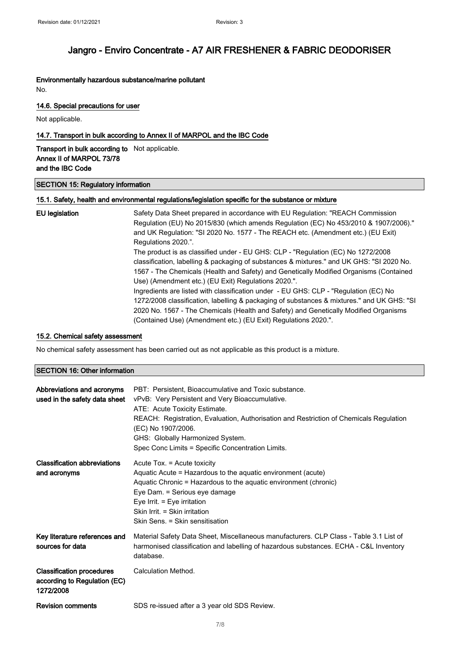#### Environmentally hazardous substance/marine pollutant No.

#### 14.6. Special precautions for user

Not applicable.

### 14.7. Transport in bulk according to Annex II of MARPOL and the IBC Code

Transport in bulk according to Not applicable. Annex II of MARPOL 73/78 and the IBC Code

#### SECTION 15: Regulatory information

#### 15.1. Safety, health and environmental regulations/legislation specific for the substance or mixture

| EU legislation | Safety Data Sheet prepared in accordance with EU Regulation: "REACH Commission<br>Regulation (EU) No 2015/830 (which amends Regulation (EC) No 453/2010 & 1907/2006)."<br>and UK Regulation: "SI 2020 No. 1577 - The REACH etc. (Amendment etc.) (EU Exit)<br>Regulations 2020.". |
|----------------|-----------------------------------------------------------------------------------------------------------------------------------------------------------------------------------------------------------------------------------------------------------------------------------|
|                | The product is as classified under - EU GHS: CLP - "Regulation (EC) No 1272/2008                                                                                                                                                                                                  |
|                | classification, labelling & packaging of substances & mixtures." and UK GHS: "SI 2020 No.<br>1567 - The Chemicals (Health and Safety) and Genetically Modified Organisms (Contained                                                                                               |
|                | Use) (Amendment etc.) (EU Exit) Regulations 2020.".<br>Ingredients are listed with classification under - EU GHS: CLP - "Regulation (EC) No                                                                                                                                       |
|                | 1272/2008 classification, labelling & packaging of substances & mixtures." and UK GHS: "SI<br>2020 No. 1567 - The Chemicals (Health and Safety) and Genetically Modified Organisms                                                                                                |
|                | (Contained Use) (Amendment etc.) (EU Exit) Regulations 2020.".                                                                                                                                                                                                                    |

### 15.2. Chemical safety assessment

No chemical safety assessment has been carried out as not applicable as this product is a mixture.

### SECTION 16: Other information

| Abbreviations and acronyms<br>used in the safety data sheet                   | PBT: Persistent, Bioaccumulative and Toxic substance.<br>vPvB: Very Persistent and Very Bioaccumulative.<br>ATE: Acute Toxicity Estimate.<br>REACH: Registration, Evaluation, Authorisation and Restriction of Chemicals Regulation<br>(EC) No 1907/2006.<br>GHS: Globally Harmonized System.<br>Spec Conc Limits = Specific Concentration Limits. |
|-------------------------------------------------------------------------------|----------------------------------------------------------------------------------------------------------------------------------------------------------------------------------------------------------------------------------------------------------------------------------------------------------------------------------------------------|
| <b>Classification abbreviations</b><br>and acronyms                           | Acute Tox. = Acute toxicity<br>Aquatic Acute = Hazardous to the aquatic environment (acute)<br>Aquatic Chronic = Hazardous to the aquatic environment (chronic)<br>Eye Dam. = Serious eye damage<br>Eye Irrit. $=$ Eye irritation<br>Skin Irrit. = Skin irritation<br>Skin Sens. = Skin sensitisation                                              |
| Key literature references and<br>sources for data                             | Material Safety Data Sheet, Miscellaneous manufacturers. CLP Class - Table 3.1 List of<br>harmonised classification and labelling of hazardous substances. ECHA - C&L Inventory<br>database.                                                                                                                                                       |
| <b>Classification procedures</b><br>according to Regulation (EC)<br>1272/2008 | Calculation Method.                                                                                                                                                                                                                                                                                                                                |
| <b>Revision comments</b>                                                      | SDS re-issued after a 3 year old SDS Review.                                                                                                                                                                                                                                                                                                       |